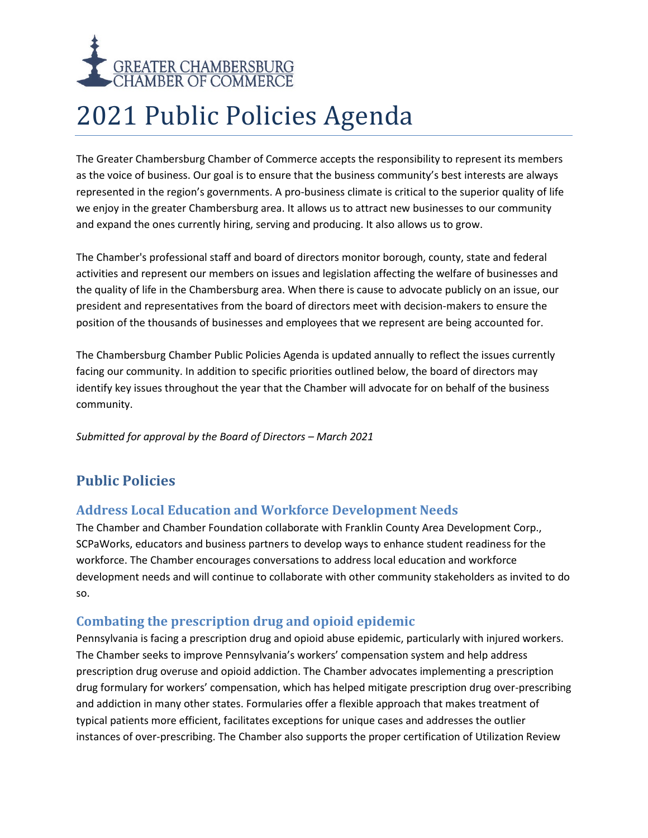

# 2021 Public Policies Agenda

The Greater Chambersburg Chamber of Commerce accepts the responsibility to represent its members as the voice of business. Our goal is to ensure that the business community's best interests are always represented in the region's governments. A pro-business climate is critical to the superior quality of life we enjoy in the greater Chambersburg area. It allows us to attract new businesses to our community and expand the ones currently hiring, serving and producing. It also allows us to grow.

The Chamber's professional staff and board of directors monitor borough, county, state and federal activities and represent our members on issues and legislation affecting the welfare of businesses and the quality of life in the Chambersburg area. When there is cause to advocate publicly on an issue, our president and representatives from the board of directors meet with decision-makers to ensure the position of the thousands of businesses and employees that we represent are being accounted for.

The Chambersburg Chamber Public Policies Agenda is updated annually to reflect the issues currently facing our community. In addition to specific priorities outlined below, the board of directors may identify key issues throughout the year that the Chamber will advocate for on behalf of the business community.

*Submitted for approval by the Board of Directors – March 2021*

# **Public Policies**

#### **Address Local Education and Workforce Development Needs**

The Chamber and Chamber Foundation collaborate with Franklin County Area Development Corp., SCPaWorks, educators and business partners to develop ways to enhance student readiness for the workforce. The Chamber encourages conversations to address local education and workforce development needs and will continue to collaborate with other community stakeholders as invited to do so.

# **Combating the prescription drug and opioid epidemic**

Pennsylvania is facing a prescription drug and opioid abuse epidemic, particularly with injured workers. The Chamber seeks to improve Pennsylvania's workers' compensation system and help address prescription drug overuse and opioid addiction. The Chamber advocates implementing a prescription drug formulary for workers' compensation, which has helped mitigate prescription drug over-prescribing and addiction in many other states. Formularies offer a flexible approach that makes treatment of typical patients more efficient, facilitates exceptions for unique cases and addresses the outlier instances of over-prescribing. The Chamber also supports the proper certification of Utilization Review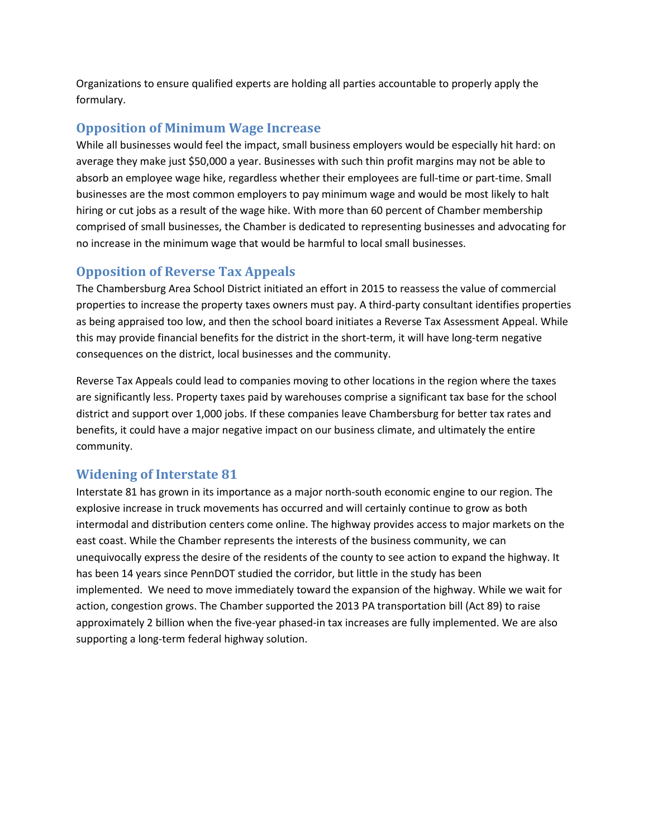Organizations to ensure qualified experts are holding all parties accountable to properly apply the formulary.

#### **Opposition of Minimum Wage Increase**

While all businesses would feel the impact, small business employers would be especially hit hard: on average they make just \$50,000 a year. Businesses with such thin profit margins may not be able to absorb an employee wage hike, regardless whether their employees are full-time or part-time. Small businesses are the most common employers to pay minimum wage and would be most likely to halt hiring or cut jobs as a result of the wage hike. With more than 60 percent of Chamber membership comprised of small businesses, the Chamber is dedicated to representing businesses and advocating for no increase in the minimum wage that would be harmful to local small businesses.

## **Opposition of Reverse Tax Appeals**

The Chambersburg Area School District initiated an effort in 2015 to reassess the value of commercial properties to increase the property taxes owners must pay. A third-party consultant identifies properties as being appraised too low, and then the school board initiates a Reverse Tax Assessment Appeal. While this may provide financial benefits for the district in the short-term, it will have long-term negative consequences on the district, local businesses and the community.

Reverse Tax Appeals could lead to companies moving to other locations in the region where the taxes are significantly less. Property taxes paid by warehouses comprise a significant tax base for the school district and support over 1,000 jobs. If these companies leave Chambersburg for better tax rates and benefits, it could have a major negative impact on our business climate, and ultimately the entire community.

#### **Widening of Interstate 81**

Interstate 81 has grown in its importance as a major north-south economic engine to our region. The explosive increase in truck movements has occurred and will certainly continue to grow as both intermodal and distribution centers come online. The highway provides access to major markets on the east coast. While the Chamber represents the interests of the business community, we can unequivocally express the desire of the residents of the county to see action to expand the highway. It has been 14 years since PennDOT studied the corridor, but little in the study has been implemented. We need to move immediately toward the expansion of the highway. While we wait for action, congestion grows. The Chamber supported the 2013 PA transportation bill (Act 89) to raise approximately 2 billion when the five-year phased-in tax increases are fully implemented. We are also supporting a long-term federal highway solution.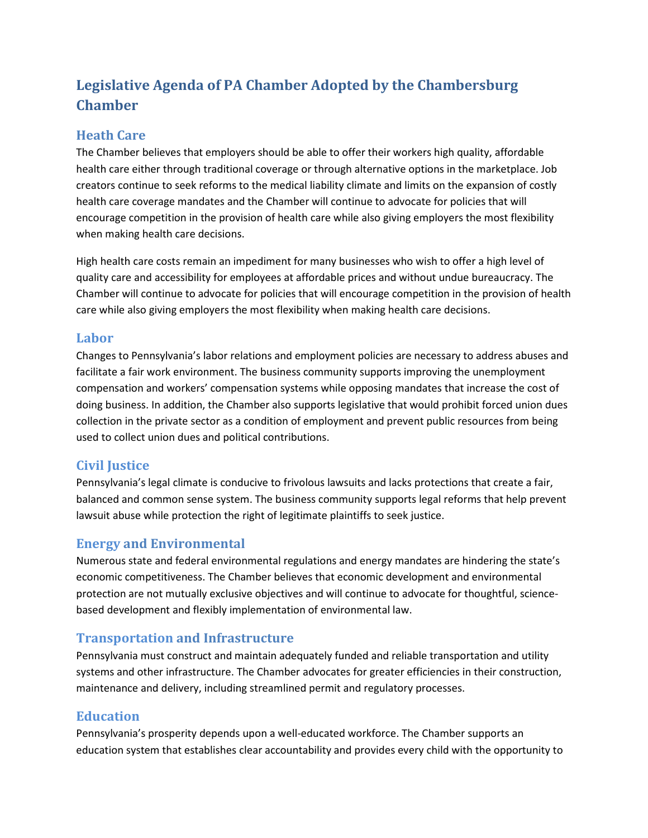# **Legislative Agenda of PA Chamber Adopted by the Chambersburg Chamber**

# **Heath Care**

The Chamber believes that employers should be able to offer their workers high quality, affordable health care either through traditional coverage or through alternative options in the marketplace. Job creators continue to seek reforms to the medical liability climate and limits on the expansion of costly health care coverage mandates and the Chamber will continue to advocate for policies that will encourage competition in the provision of health care while also giving employers the most flexibility when making health care decisions.

High health care costs remain an impediment for many businesses who wish to offer a high level of quality care and accessibility for employees at affordable prices and without undue bureaucracy. The Chamber will continue to advocate for policies that will encourage competition in the provision of health care while also giving employers the most flexibility when making health care decisions.

#### **Labor**

Changes to Pennsylvania's labor relations and employment policies are necessary to address abuses and facilitate a fair work environment. The business community supports improving the unemployment compensation and workers' compensation systems while opposing mandates that increase the cost of doing business. In addition, the Chamber also supports legislative that would prohibit forced union dues collection in the private sector as a condition of employment and prevent public resources from being used to collect union dues and political contributions.

#### **Civil Justice**

Pennsylvania's legal climate is conducive to frivolous lawsuits and lacks protections that create a fair, balanced and common sense system. The business community supports legal reforms that help prevent lawsuit abuse while protection the right of legitimate plaintiffs to seek justice.

# **Energy and Environmental**

Numerous state and federal environmental regulations and energy mandates are hindering the state's economic competitiveness. The Chamber believes that economic development and environmental protection are not mutually exclusive objectives and will continue to advocate for thoughtful, sciencebased development and flexibly implementation of environmental law.

# **Transportation and Infrastructure**

Pennsylvania must construct and maintain adequately funded and reliable transportation and utility systems and other infrastructure. The Chamber advocates for greater efficiencies in their construction, maintenance and delivery, including streamlined permit and regulatory processes.

# **Education**

Pennsylvania's prosperity depends upon a well-educated workforce. The Chamber supports an education system that establishes clear accountability and provides every child with the opportunity to